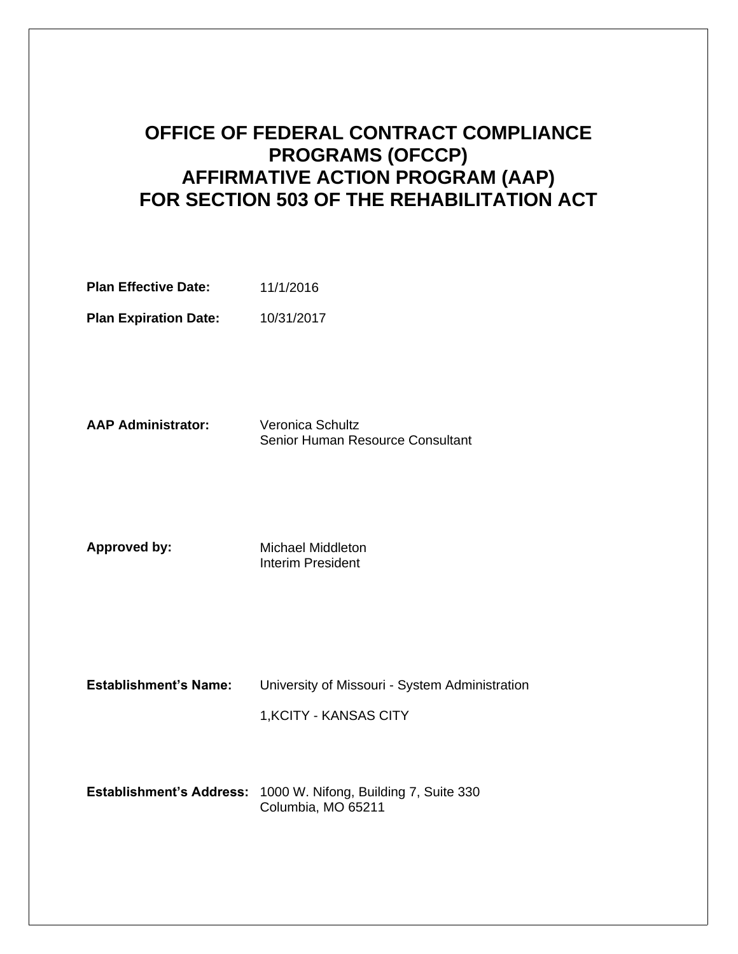# **OFFICE OF FEDERAL CONTRACT COMPLIANCE PROGRAMS (OFCCP) AFFIRMATIVE ACTION PROGRAM (AAP) FOR SECTION 503 OF THE REHABILITATION ACT**

| <b>Plan Effective Date:</b> | 11/1/2016 |
|-----------------------------|-----------|
|                             |           |

Plan Expiration Date: 10/31/2017

**AAP Administrator:** Veronica Schultz Senior Human Resource Consultant

**Approved by:** Michael Middleton Interim President

**Establishment's Name:** University of Missouri - System Administration 1,KCITY - KANSAS CITY

**Establishment's Address: 1000 W. Nifong, Building 7, Suite 330** Columbia, MO 65211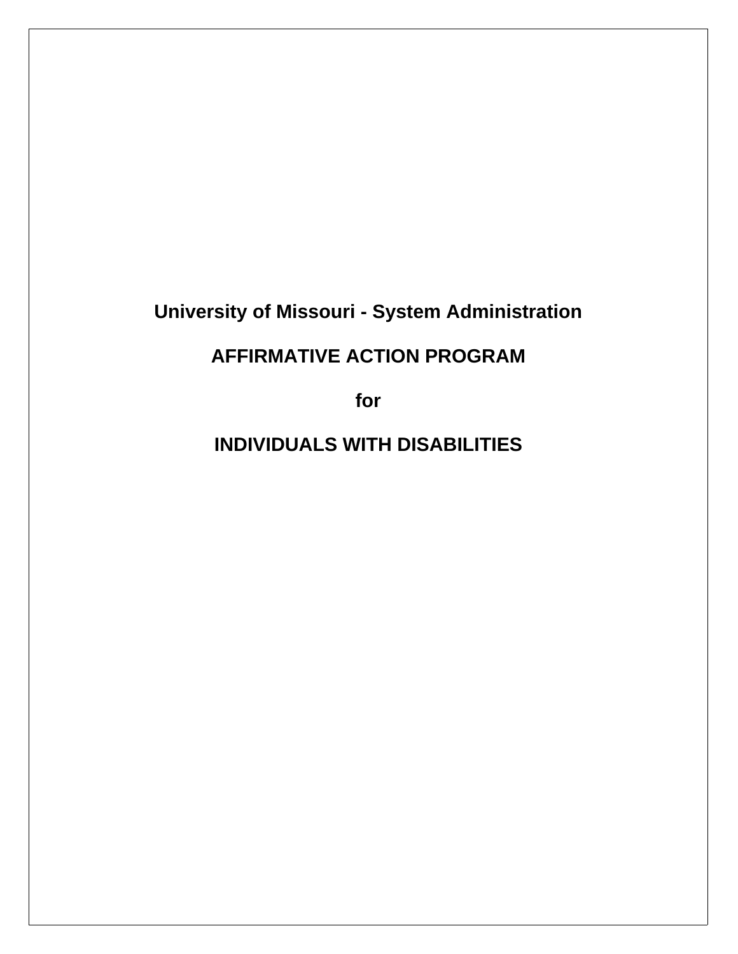# **University of Missouri - System Administration**

# **AFFIRMATIVE ACTION PROGRAM**

**for**

**INDIVIDUALS WITH DISABILITIES**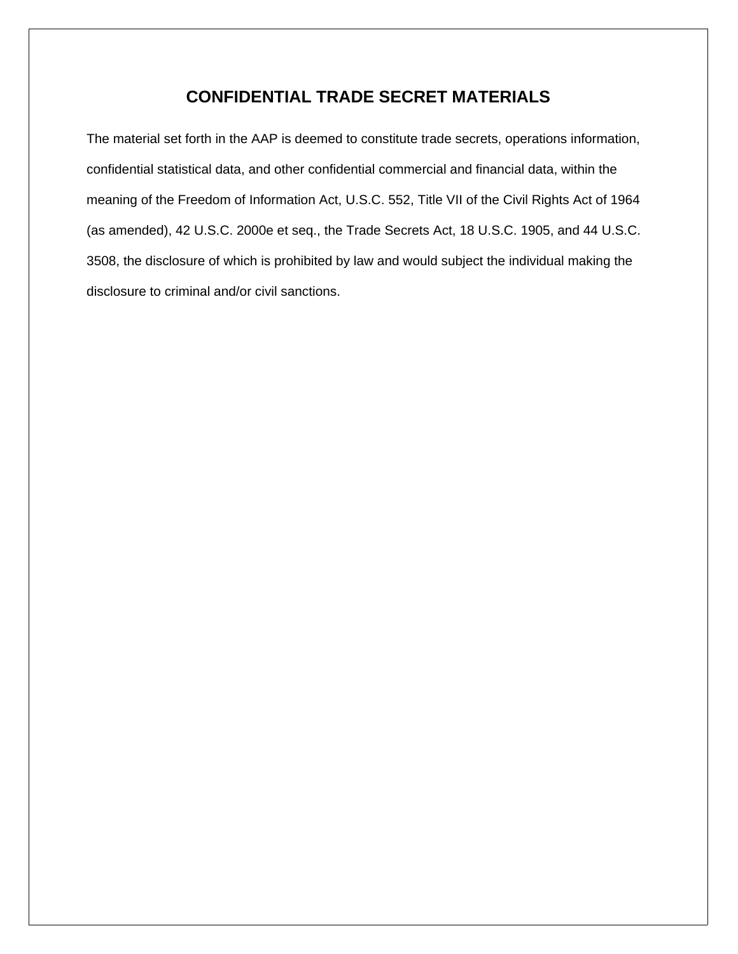### **CONFIDENTIAL TRADE SECRET MATERIALS**

The material set forth in the AAP is deemed to constitute trade secrets, operations information, confidential statistical data, and other confidential commercial and financial data, within the meaning of the Freedom of Information Act, U.S.C. 552, Title VII of the Civil Rights Act of 1964 (as amended), 42 U.S.C. 2000e et seq., the Trade Secrets Act, 18 U.S.C. 1905, and 44 U.S.C. 3508, the disclosure of which is prohibited by law and would subject the individual making the disclosure to criminal and/or civil sanctions.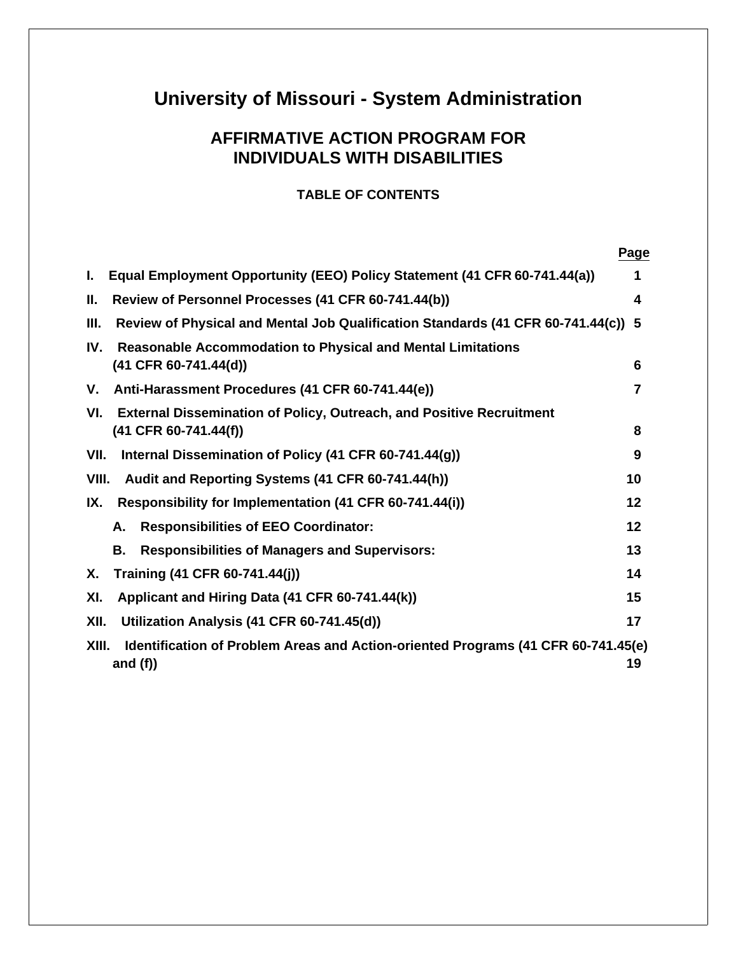# **University of Missouri - System Administration**

# **AFFIRMATIVE ACTION PROGRAM FOR INDIVIDUALS WITH DISABILITIES**

#### **TABLE OF CONTENTS**

|                                                                                            | Page |
|--------------------------------------------------------------------------------------------|------|
| Equal Employment Opportunity (EEO) Policy Statement (41 CFR 60-741.44(a))<br>Ι.            | 1    |
| Review of Personnel Processes (41 CFR 60-741.44(b))<br>Ш.                                  | 4    |
| Review of Physical and Mental Job Qualification Standards (41 CFR 60-741.44(c)) 5<br>Ш.    |      |
| <b>Reasonable Accommodation to Physical and Mental Limitations</b><br>IV.                  |      |
| $(41$ CFR 60-741.44(d))                                                                    | 6    |
| Anti-Harassment Procedures (41 CFR 60-741.44(e))<br>V.                                     | 7    |
| External Dissemination of Policy, Outreach, and Positive Recruitment<br>VI.                |      |
| $(41$ CFR 60-741.44(f))                                                                    | 8    |
| Internal Dissemination of Policy (41 CFR 60-741.44(g))<br>VII.                             | 9    |
| VIII.<br>Audit and Reporting Systems (41 CFR 60-741.44(h))                                 | 10   |
| Responsibility for Implementation (41 CFR 60-741.44(i))<br>IX.                             | 12   |
| <b>Responsibilities of EEO Coordinator:</b><br>А.                                          | 12   |
| В.<br><b>Responsibilities of Managers and Supervisors:</b>                                 | 13   |
| Training (41 CFR 60-741.44(j))<br>Х.                                                       | 14   |
| Applicant and Hiring Data (41 CFR 60-741.44(k))<br>XI.                                     | 15   |
| XII.<br>Utilization Analysis (41 CFR 60-741.45(d))                                         | 17   |
| XIII.<br>Identification of Problem Areas and Action-oriented Programs (41 CFR 60-741.45(e) |      |
| and $(f)$                                                                                  | 19   |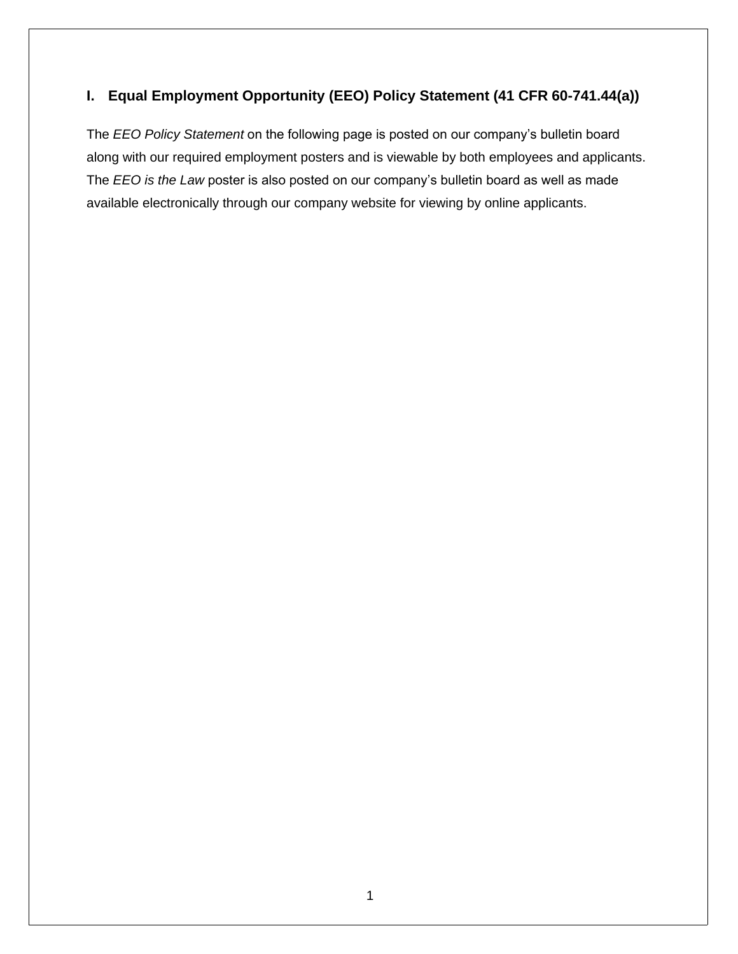## **I. Equal Employment Opportunity (EEO) Policy Statement (41 CFR 60-741.44(a))**

The *EEO Policy Statement* on the following page is posted on our company's bulletin board along with our required employment posters and is viewable by both employees and applicants. The *EEO is the Law* poster is also posted on our company's bulletin board as well as made available electronically through our company website for viewing by online applicants.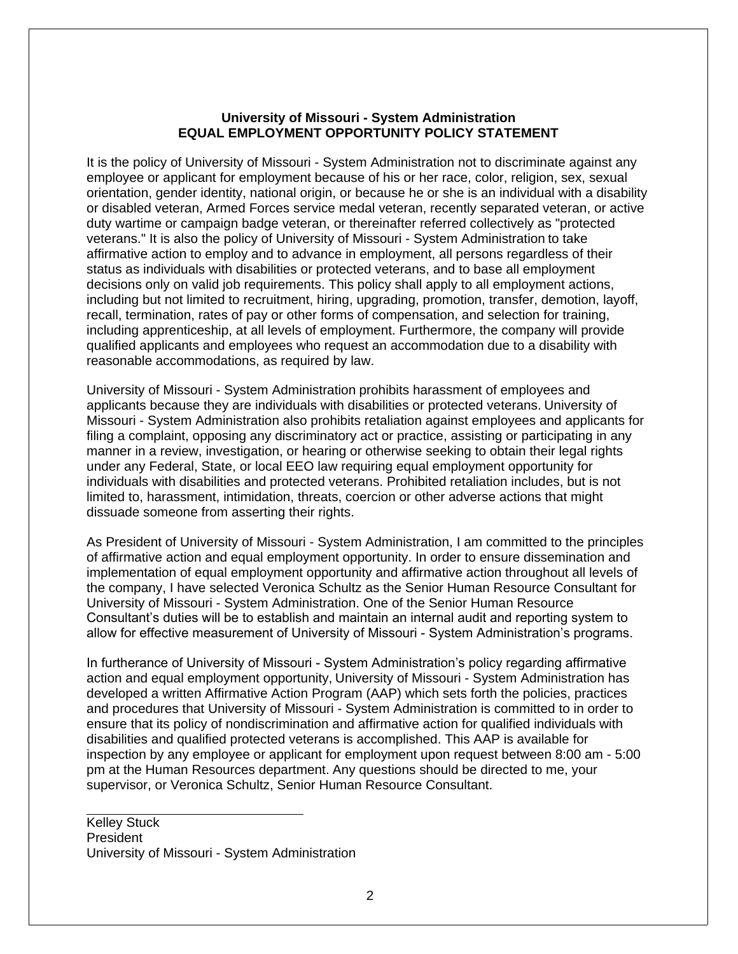#### **University of Missouri - System Administration EQUAL EMPLOYMENT OPPORTUNITY POLICY STATEMENT**

It is the policy of University of Missouri - System Administration not to discriminate against any employee or applicant for employment because of his or her race, color, religion, sex, sexual orientation, gender identity, national origin, or because he or she is an individual with a disability or disabled veteran, Armed Forces service medal veteran, recently separated veteran, or active duty wartime or campaign badge veteran, or thereinafter referred collectively as "protected veterans." It is also the policy of University of Missouri - System Administration to take affirmative action to employ and to advance in employment, all persons regardless of their status as individuals with disabilities or protected veterans, and to base all employment decisions only on valid job requirements. This policy shall apply to all employment actions, including but not limited to recruitment, hiring, upgrading, promotion, transfer, demotion, layoff, recall, termination, rates of pay or other forms of compensation, and selection for training, including apprenticeship, at all levels of employment. Furthermore, the company will provide qualified applicants and employees who request an accommodation due to a disability with reasonable accommodations, as required by law.

University of Missouri - System Administration prohibits harassment of employees and applicants because they are individuals with disabilities or protected veterans. University of Missouri - System Administration also prohibits retaliation against employees and applicants for filing a complaint, opposing any discriminatory act or practice, assisting or participating in any manner in a review, investigation, or hearing or otherwise seeking to obtain their legal rights under any Federal, State, or local EEO law requiring equal employment opportunity for individuals with disabilities and protected veterans. Prohibited retaliation includes, but is not limited to, harassment, intimidation, threats, coercion or other adverse actions that might dissuade someone from asserting their rights.

As President of University of Missouri - System Administration, I am committed to the principles of affirmative action and equal employment opportunity. In order to ensure dissemination and implementation of equal employment opportunity and affirmative action throughout all levels of the company, I have selected Veronica Schultz as the Senior Human Resource Consultant for University of Missouri - System Administration. One of the Senior Human Resource Consultant's duties will be to establish and maintain an internal audit and reporting system to allow for effective measurement of University of Missouri - System Administration's programs.

In furtherance of University of Missouri - System Administration's policy regarding affirmative action and equal employment opportunity, University of Missouri - System Administration has developed a written Affirmative Action Program (AAP) which sets forth the policies, practices and procedures that University of Missouri - System Administration is committed to in order to ensure that its policy of nondiscrimination and affirmative action for qualified individuals with disabilities and qualified protected veterans is accomplished. This AAP is available for inspection by any employee or applicant for employment upon request between 8:00 am - 5:00 pm at the Human Resources department. Any questions should be directed to me, your supervisor, or Veronica Schultz, Senior Human Resource Consultant.

Kelley Stuck President University of Missouri - System Administration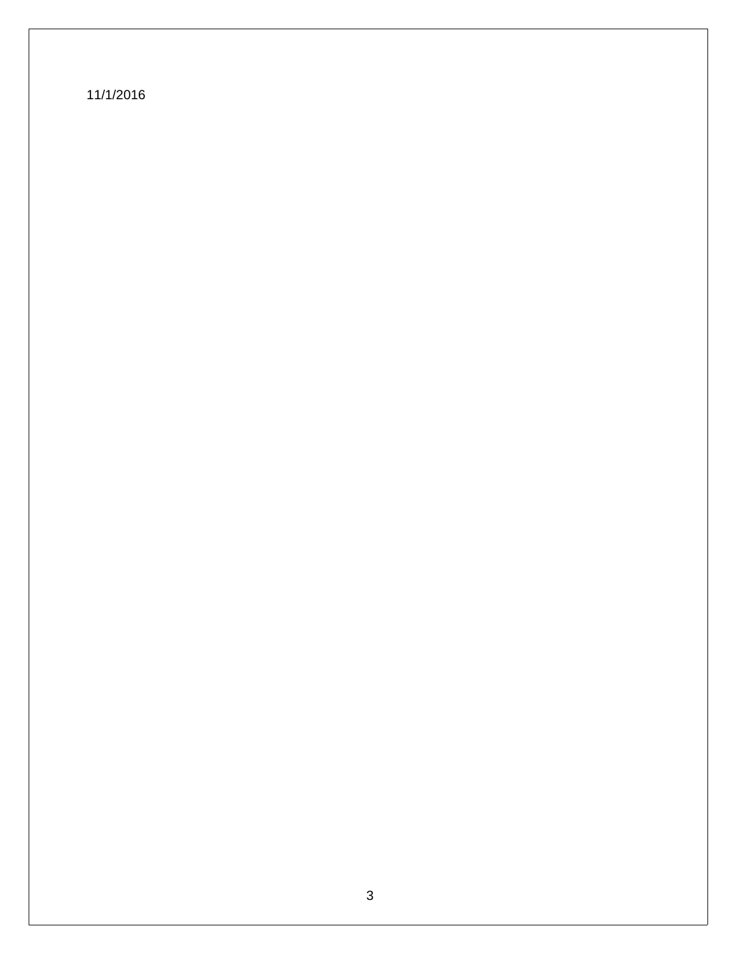11/1/2016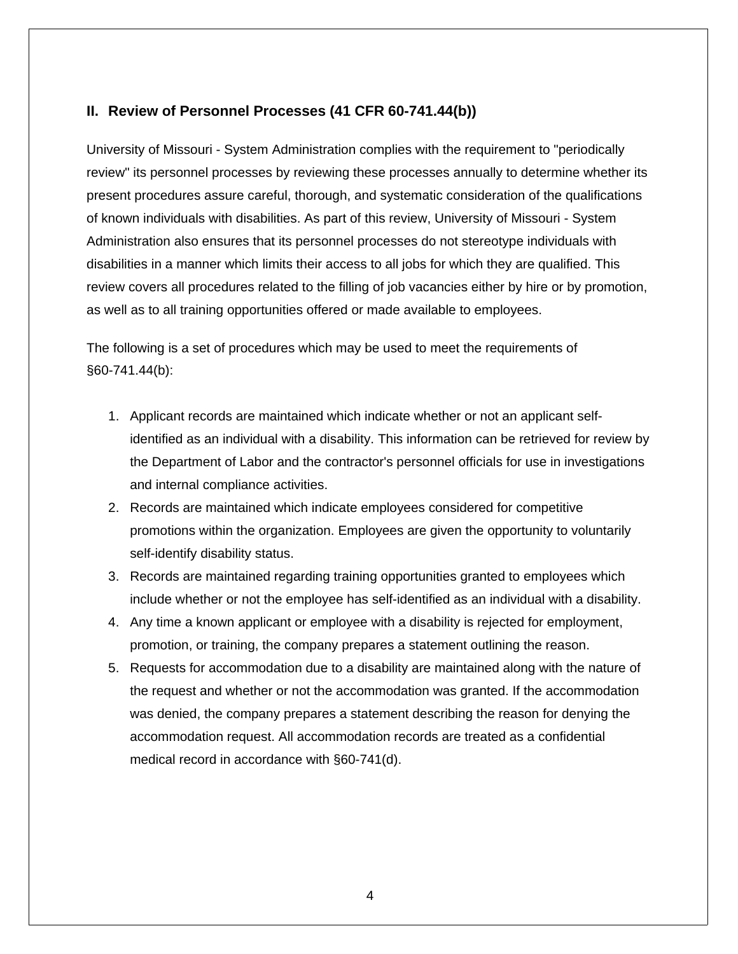#### **II. Review of Personnel Processes (41 CFR 60-741.44(b))**

University of Missouri - System Administration complies with the requirement to "periodically review" its personnel processes by reviewing these processes annually to determine whether its present procedures assure careful, thorough, and systematic consideration of the qualifications of known individuals with disabilities. As part of this review, University of Missouri - System Administration also ensures that its personnel processes do not stereotype individuals with disabilities in a manner which limits their access to all jobs for which they are qualified. This review covers all procedures related to the filling of job vacancies either by hire or by promotion, as well as to all training opportunities offered or made available to employees.

The following is a set of procedures which may be used to meet the requirements of §60-741.44(b):

- 1. Applicant records are maintained which indicate whether or not an applicant selfidentified as an individual with a disability. This information can be retrieved for review by the Department of Labor and the contractor's personnel officials for use in investigations and internal compliance activities.
- 2. Records are maintained which indicate employees considered for competitive promotions within the organization. Employees are given the opportunity to voluntarily self-identify disability status.
- 3. Records are maintained regarding training opportunities granted to employees which include whether or not the employee has self-identified as an individual with a disability.
- 4. Any time a known applicant or employee with a disability is rejected for employment, promotion, or training, the company prepares a statement outlining the reason.
- 5. Requests for accommodation due to a disability are maintained along with the nature of the request and whether or not the accommodation was granted. If the accommodation was denied, the company prepares a statement describing the reason for denying the accommodation request. All accommodation records are treated as a confidential medical record in accordance with §60-741(d).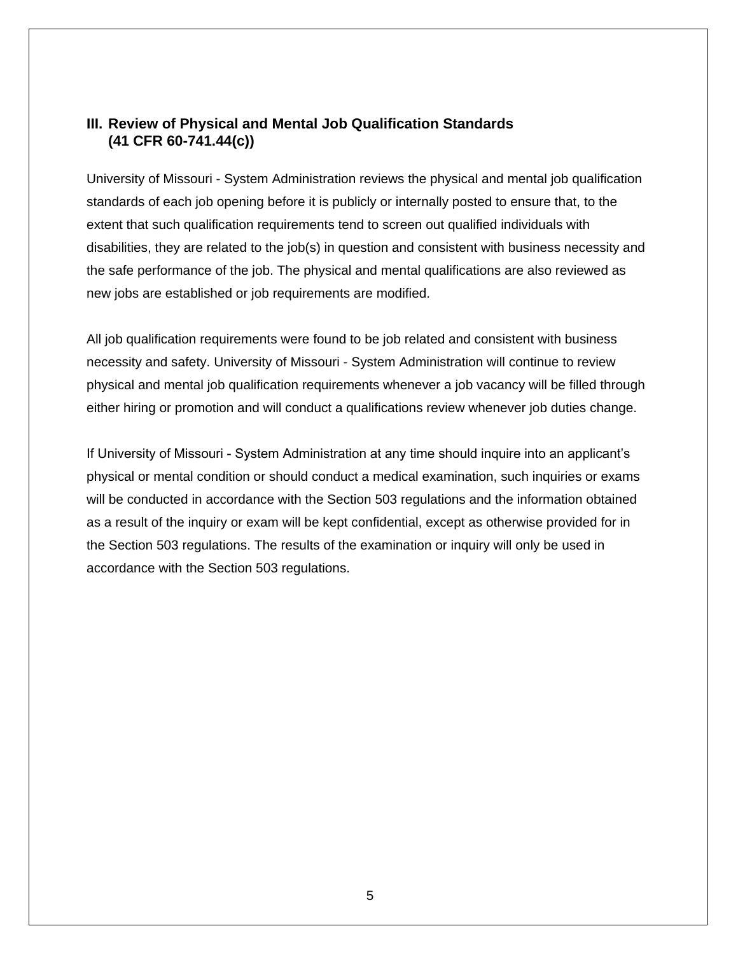#### **III. Review of Physical and Mental Job Qualification Standards (41 CFR 60-741.44(c))**

University of Missouri - System Administration reviews the physical and mental job qualification standards of each job opening before it is publicly or internally posted to ensure that, to the extent that such qualification requirements tend to screen out qualified individuals with disabilities, they are related to the job(s) in question and consistent with business necessity and the safe performance of the job. The physical and mental qualifications are also reviewed as new jobs are established or job requirements are modified.

All job qualification requirements were found to be job related and consistent with business necessity and safety. University of Missouri - System Administration will continue to review physical and mental job qualification requirements whenever a job vacancy will be filled through either hiring or promotion and will conduct a qualifications review whenever job duties change.

If University of Missouri - System Administration at any time should inquire into an applicant's physical or mental condition or should conduct a medical examination, such inquiries or exams will be conducted in accordance with the Section 503 regulations and the information obtained as a result of the inquiry or exam will be kept confidential, except as otherwise provided for in the Section 503 regulations. The results of the examination or inquiry will only be used in accordance with the Section 503 regulations.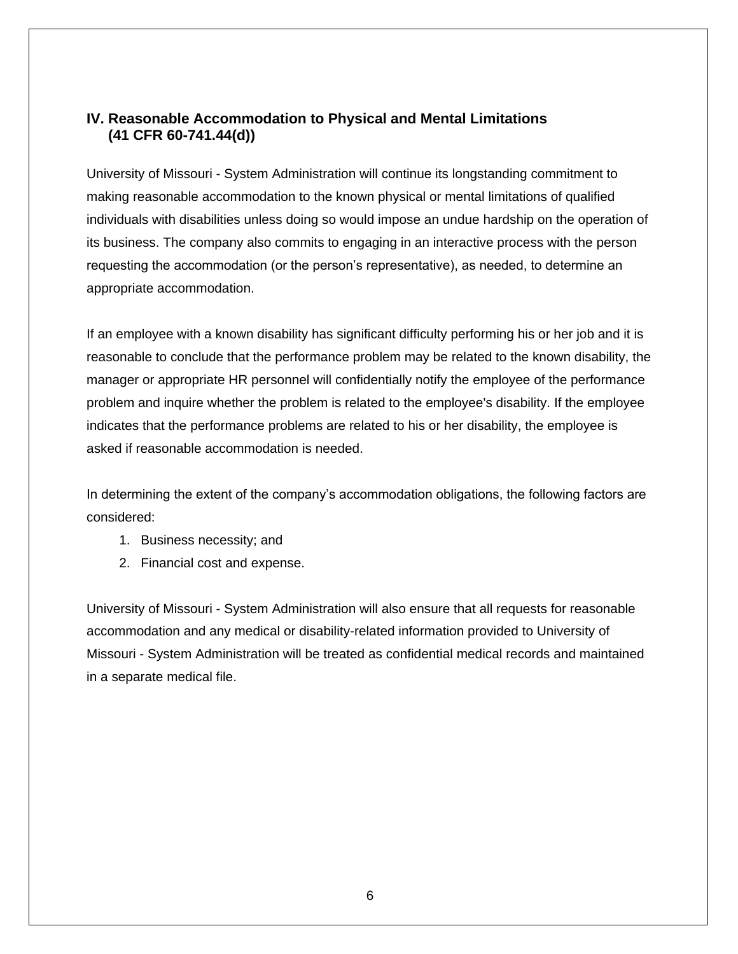#### **IV. Reasonable Accommodation to Physical and Mental Limitations (41 CFR 60-741.44(d))**

University of Missouri - System Administration will continue its longstanding commitment to making reasonable accommodation to the known physical or mental limitations of qualified individuals with disabilities unless doing so would impose an undue hardship on the operation of its business. The company also commits to engaging in an interactive process with the person requesting the accommodation (or the person's representative), as needed, to determine an appropriate accommodation.

If an employee with a known disability has significant difficulty performing his or her job and it is reasonable to conclude that the performance problem may be related to the known disability, the manager or appropriate HR personnel will confidentially notify the employee of the performance problem and inquire whether the problem is related to the employee's disability. If the employee indicates that the performance problems are related to his or her disability, the employee is asked if reasonable accommodation is needed.

In determining the extent of the company's accommodation obligations, the following factors are considered:

- 1. Business necessity; and
- 2. Financial cost and expense.

University of Missouri - System Administration will also ensure that all requests for reasonable accommodation and any medical or disability-related information provided to University of Missouri - System Administration will be treated as confidential medical records and maintained in a separate medical file.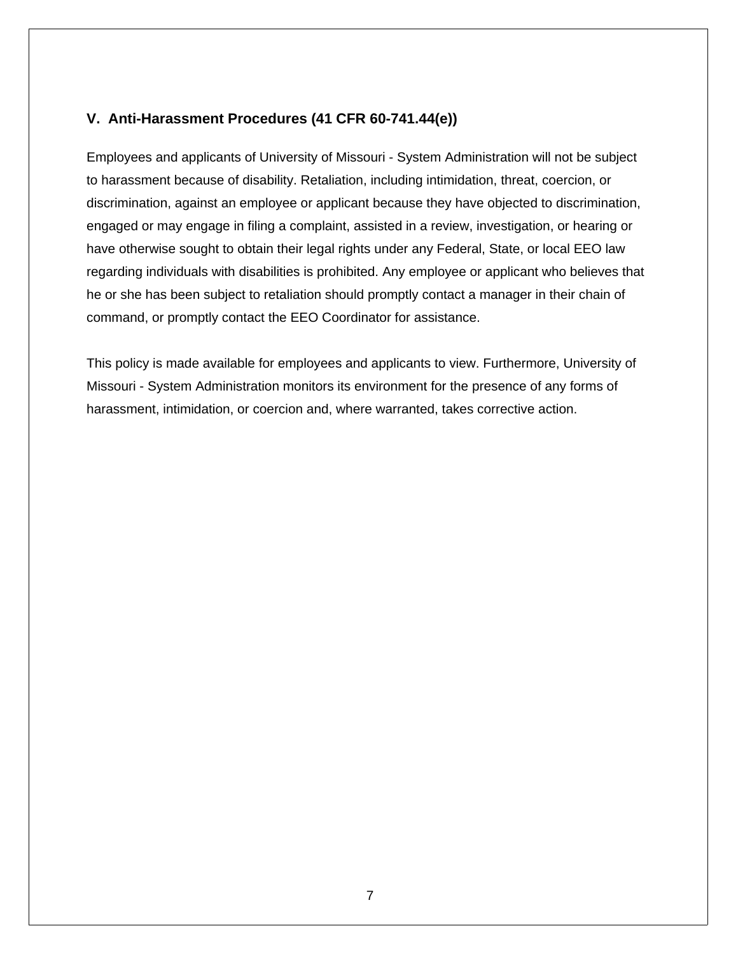### **V. Anti-Harassment Procedures (41 CFR 60-741.44(e))**

Employees and applicants of University of Missouri - System Administration will not be subject to harassment because of disability. Retaliation, including intimidation, threat, coercion, or discrimination, against an employee or applicant because they have objected to discrimination, engaged or may engage in filing a complaint, assisted in a review, investigation, or hearing or have otherwise sought to obtain their legal rights under any Federal, State, or local EEO law regarding individuals with disabilities is prohibited. Any employee or applicant who believes that he or she has been subject to retaliation should promptly contact a manager in their chain of command, or promptly contact the EEO Coordinator for assistance.

This policy is made available for employees and applicants to view. Furthermore, University of Missouri - System Administration monitors its environment for the presence of any forms of harassment, intimidation, or coercion and, where warranted, takes corrective action.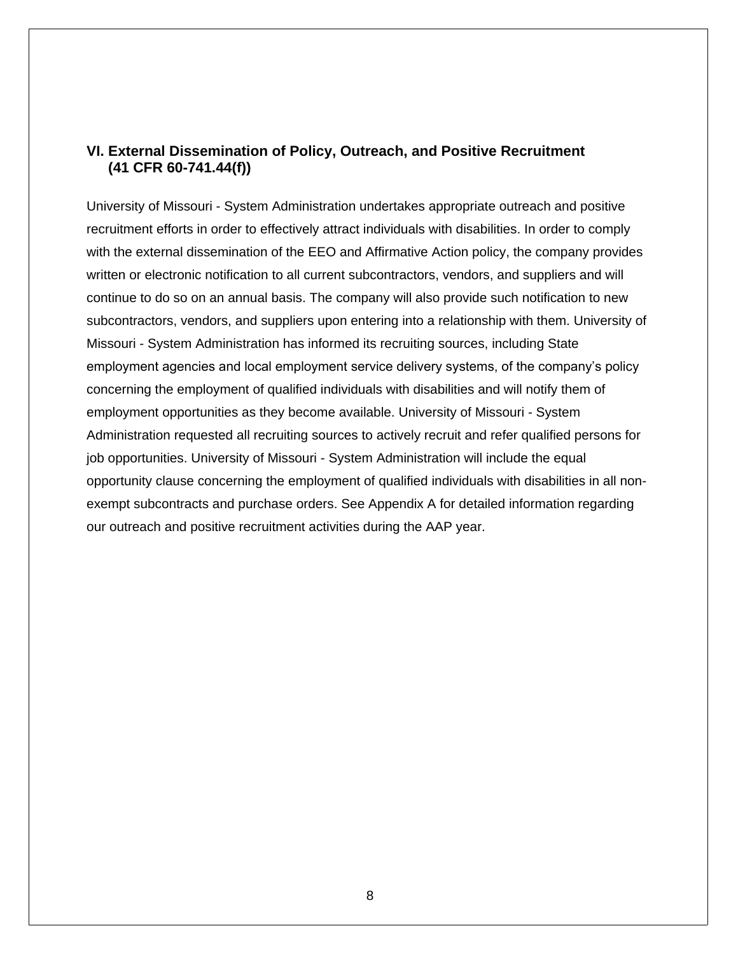#### **VI. External Dissemination of Policy, Outreach, and Positive Recruitment (41 CFR 60-741.44(f))**

University of Missouri - System Administration undertakes appropriate outreach and positive recruitment efforts in order to effectively attract individuals with disabilities. In order to comply with the external dissemination of the EEO and Affirmative Action policy, the company provides written or electronic notification to all current subcontractors, vendors, and suppliers and will continue to do so on an annual basis. The company will also provide such notification to new subcontractors, vendors, and suppliers upon entering into a relationship with them. University of Missouri - System Administration has informed its recruiting sources, including State employment agencies and local employment service delivery systems, of the company's policy concerning the employment of qualified individuals with disabilities and will notify them of employment opportunities as they become available. University of Missouri - System Administration requested all recruiting sources to actively recruit and refer qualified persons for job opportunities. University of Missouri - System Administration will include the equal opportunity clause concerning the employment of qualified individuals with disabilities in all nonexempt subcontracts and purchase orders. See Appendix A for detailed information regarding our outreach and positive recruitment activities during the AAP year.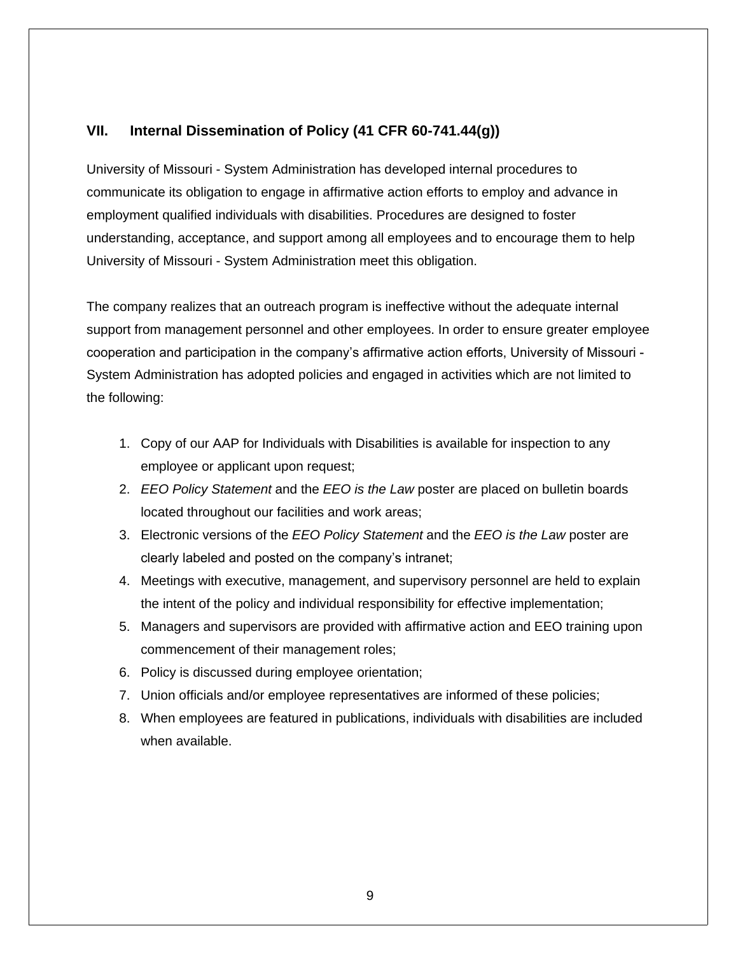#### **VII. Internal Dissemination of Policy (41 CFR 60-741.44(g))**

University of Missouri - System Administration has developed internal procedures to communicate its obligation to engage in affirmative action efforts to employ and advance in employment qualified individuals with disabilities. Procedures are designed to foster understanding, acceptance, and support among all employees and to encourage them to help University of Missouri - System Administration meet this obligation.

The company realizes that an outreach program is ineffective without the adequate internal support from management personnel and other employees. In order to ensure greater employee Exampleration and participation in the company's affirmative action efforts, University of Missouri -System Administration has adopted policies and engaged in activities which are not limited to the following:

- 1. Copy of our AAP for Individuals with Disabilities is available for inspection to any employee or applicant upon request;
- 2. *EEO Policy Statement* and the *EEO is the Law* poster are placed on bulletin boards located throughout our facilities and work areas;
- 3. Electronic versions of the *EEO Policy Statement* and the *EEO is the Law* poster are clearly labeled and posted on the company's intranet;
- 4. Meetings with executive, management, and supervisory personnel are held to explain the intent of the policy and individual responsibility for effective implementation;
- 5. Managers and supervisors are provided with affirmative action and EEO training upon commencement of their management roles;
- 6. Policy is discussed during employee orientation;
- 7. Union officials and/or employee representatives are informed of these policies;
- 8. When employees are featured in publications, individuals with disabilities are included when available.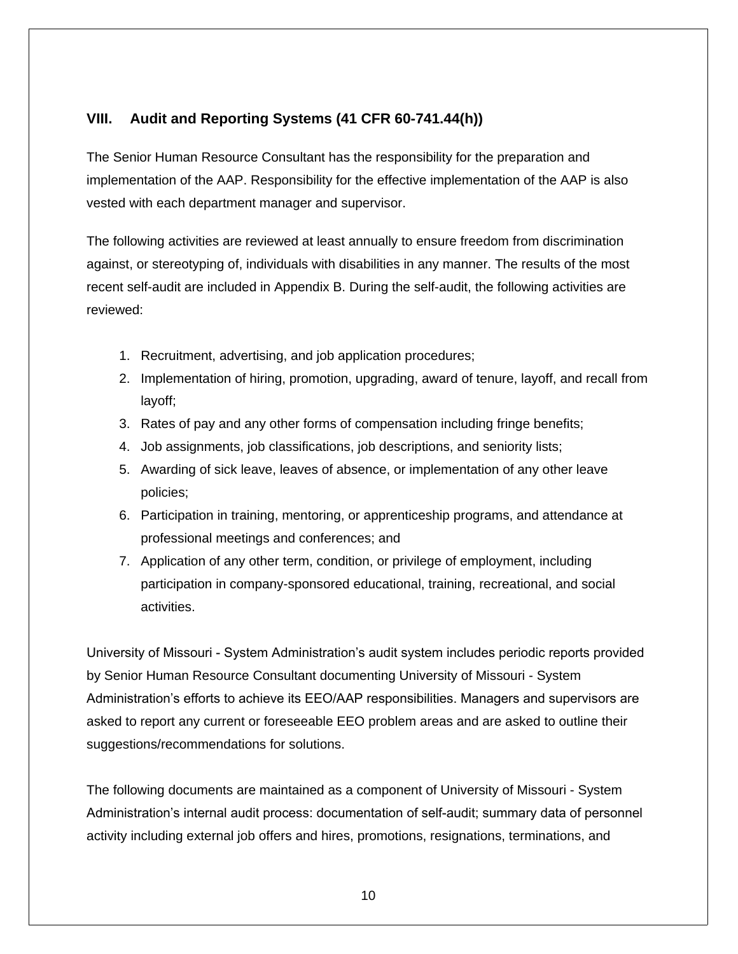#### **VIII. Audit and Reporting Systems (41 CFR 60-741.44(h))**

The Senior Human Resource Consultant has the responsibility for the preparation and implementation of the AAP. Responsibility for the effective implementation of the AAP is also vested with each department manager and supervisor.

The following activities are reviewed at least annually to ensure freedom from discrimination against, or stereotyping of, individuals with disabilities in any manner. The results of the most recent self-audit are included in Appendix B. During the self-audit, the following activities are reviewed:

- 1. Recruitment, advertising, and job application procedures;
- 2. Implementation of hiring, promotion, upgrading, award of tenure, layoff, and recall from layoff;
- 3. Rates of pay and any other forms of compensation including fringe benefits;
- 4. Job assignments, job classifications, job descriptions, and seniority lists;
- 5. Awarding of sick leave, leaves of absence, or implementation of any other leave policies;
- 6. Participation in training, mentoring, or apprenticeship programs, and attendance at professional meetings and conferences; and
- 7. Application of any other term, condition, or privilege of employment, including participation in company-sponsored educational, training, recreational, and social activities.

University of Missouri - System Administration's audit system includes periodic reports provided by Senior Human Resource Consultant documenting University of Missouri - System Administration's efforts to achieve its EEO/AAP responsibilities. Managers and supervisors are asked to report any current or foreseeable EEO problem areas and are asked to outline their suggestions/recommendations for solutions.

The following documents are maintained as a component of University of Missouri - System Administration's internal audit process: documentation of self-audit; summary data of personnel activity including external job offers and hires, promotions, resignations, terminations, and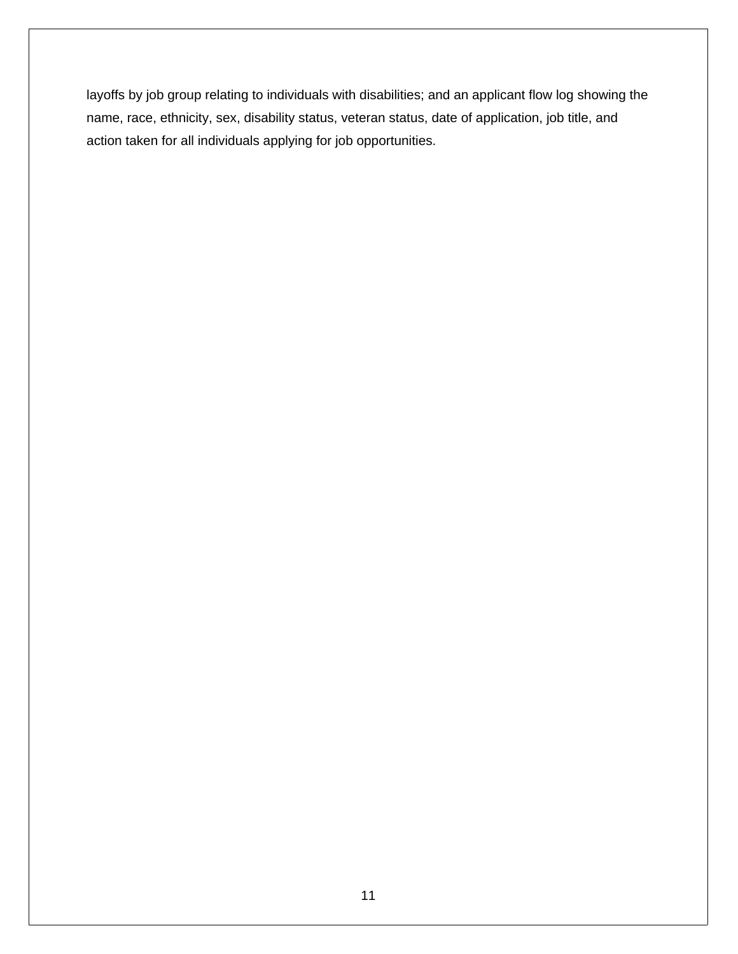layoffs by job group relating to individuals with disabilities; and an applicant flow log showing the name, race, ethnicity, sex, disability status, veteran status, date of application, job title, and action taken for all individuals applying for job opportunities.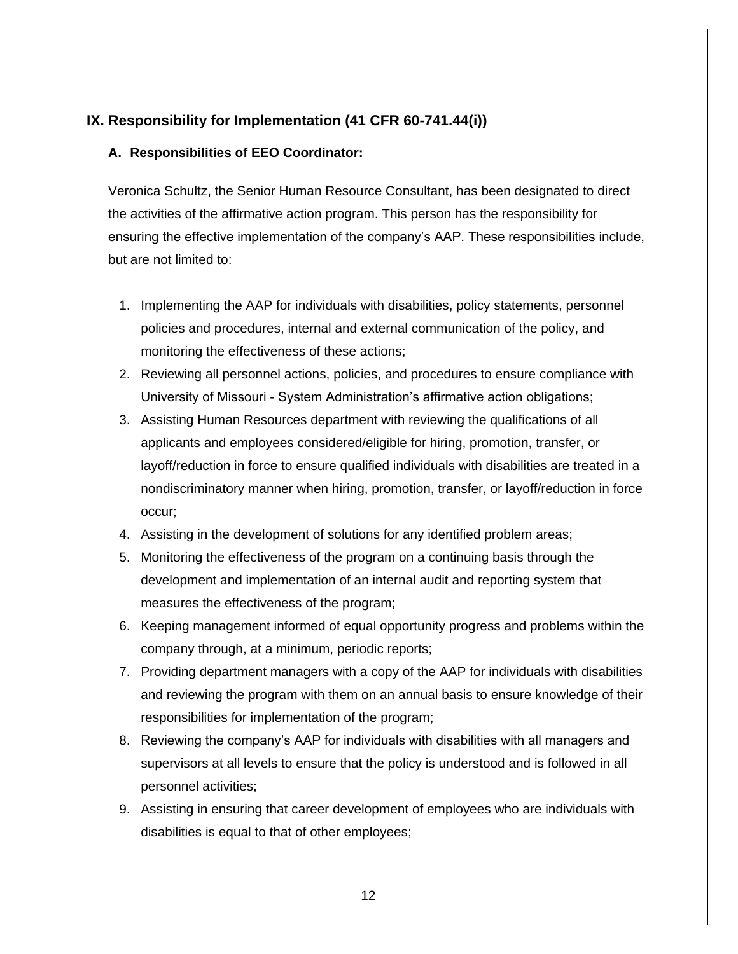#### **IX. Responsibility for Implementation (41 CFR 60-741.44(i))**

#### **A. Responsibilities of EEO Coordinator:**

Veronica Schultz, the Senior Human Resource Consultant, has been designated to direct the activities of the affirmative action program. This person has the responsibility for ensuring the effective implementation of the company's AAP. These responsibilities include, but are not limited to:

- 1. Implementing the AAP for individuals with disabilities, policy statements, personnel policies and procedures, internal and external communication of the policy, and monitoring the effectiveness of these actions;
- 2. Reviewing all personnel actions, policies, and procedures to ensure compliance with University of Missouri - System Administration's affirmative action obligations;
- 3. Assisting Human Resources department with reviewing the qualifications of all applicants and employees considered/eligible for hiring, promotion, transfer, or layoff/reduction in force to ensure qualified individuals with disabilities are treated in a nondiscriminatory manner when hiring, promotion, transfer, or layoff/reduction in force occur;
- 4. Assisting in the development of solutions for any identified problem areas;
- 5. Monitoring the effectiveness of the program on a continuing basis through the development and implementation of an internal audit and reporting system that measures the effectiveness of the program;
- 6. Keeping management informed of equal opportunity progress and problems within the company through, at a minimum, periodic reports;
- 7. Providing department managers with a copy of the AAP for individuals with disabilities and reviewing the program with them on an annual basis to ensure knowledge of their responsibilities for implementation of the program;
- 8. Reviewing the company's AAP for individuals with disabilities with all managers and supervisors at all levels to ensure that the policy is understood and is followed in all personnel activities;
- 9. Assisting in ensuring that career development of employees who are individuals with disabilities is equal to that of other employees;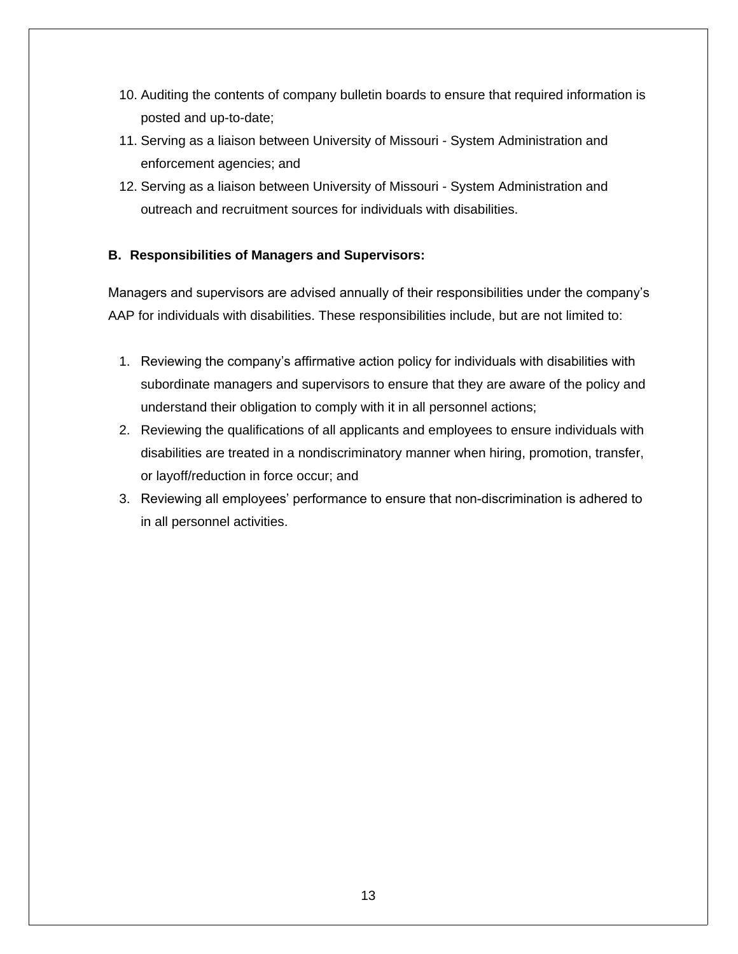- 10. Auditing the contents of company bulletin boards to ensure that required information is posted and up-to-date;
- 11. Serving as a liaison between University of Missouri System Administration and enforcement agencies; and
- 12. Serving as a liaison between University of Missouri System Administration and outreach and recruitment sources for individuals with disabilities.

#### **B. Responsibilities of Managers and Supervisors:**

Managers and supervisors are advised annually of their responsibilities under the company's AAP for individuals with disabilities. These responsibilities include, but are not limited to:

- 1. Reviewing the company's affirmative action policy for individuals with disabilities with subordinate managers and supervisors to ensure that they are aware of the policy and understand their obligation to comply with it in all personnel actions;
- 2. Reviewing the qualifications of all applicants and employees to ensure individuals with disabilities are treated in a nondiscriminatory manner when hiring, promotion, transfer, or layoff/reduction in force occur; and
- 3. Reviewing all employees' performance to ensure that non-discrimination is adhered to in all personnel activities.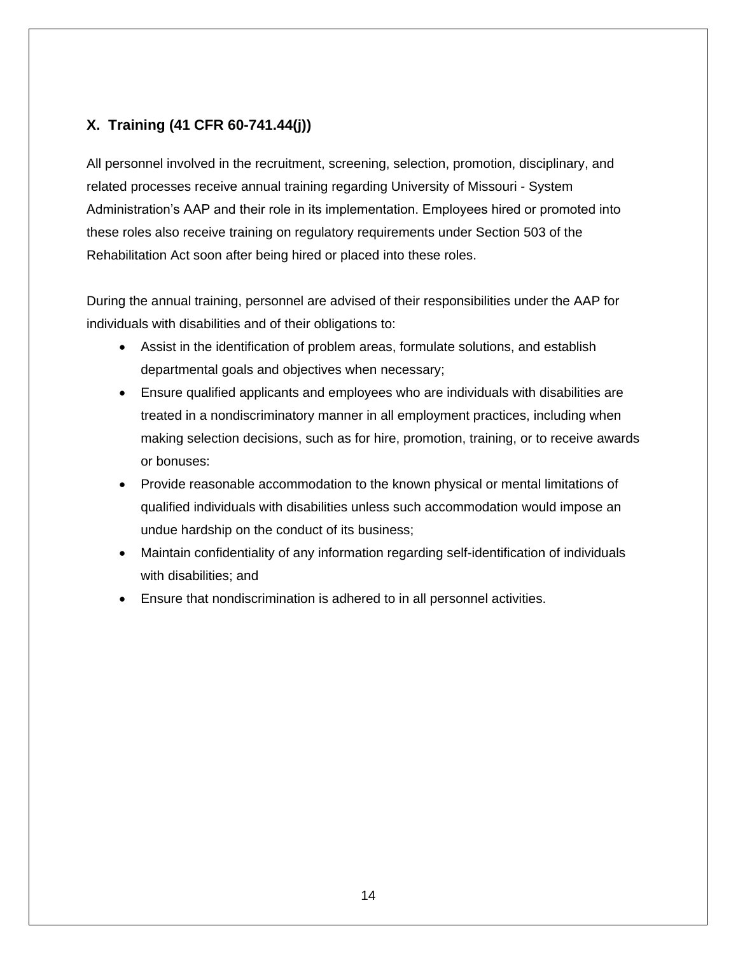## **X. Training (41 CFR 60-741.44(j))**

All personnel involved in the recruitment, screening, selection, promotion, disciplinary, and related processes receive annual training regarding University of Missouri - System Administration's AAP and their role in its implementation. Employees hired or promoted into these roles also receive training on regulatory requirements under Section 503 of the Rehabilitation Act soon after being hired or placed into these roles.

During the annual training, personnel are advised of their responsibilities under the AAP for individuals with disabilities and of their obligations to:

- Assist in the identification of problem areas, formulate solutions, and establish departmental goals and objectives when necessary;
- Ensure qualified applicants and employees who are individuals with disabilities are treated in a nondiscriminatory manner in all employment practices, including when making selection decisions, such as for hire, promotion, training, or to receive awards or bonuses:
- **Provide reasonable accommodation to the known physical or mental limitations of** qualified individuals with disabilities unless such accommodation would impose an undue hardship on the conduct of its business;
- Maintain confidentiality of any information regarding self-identification of individuals with disabilities; and
- Ensure that nondiscrimination is adhered to in all personnel activities.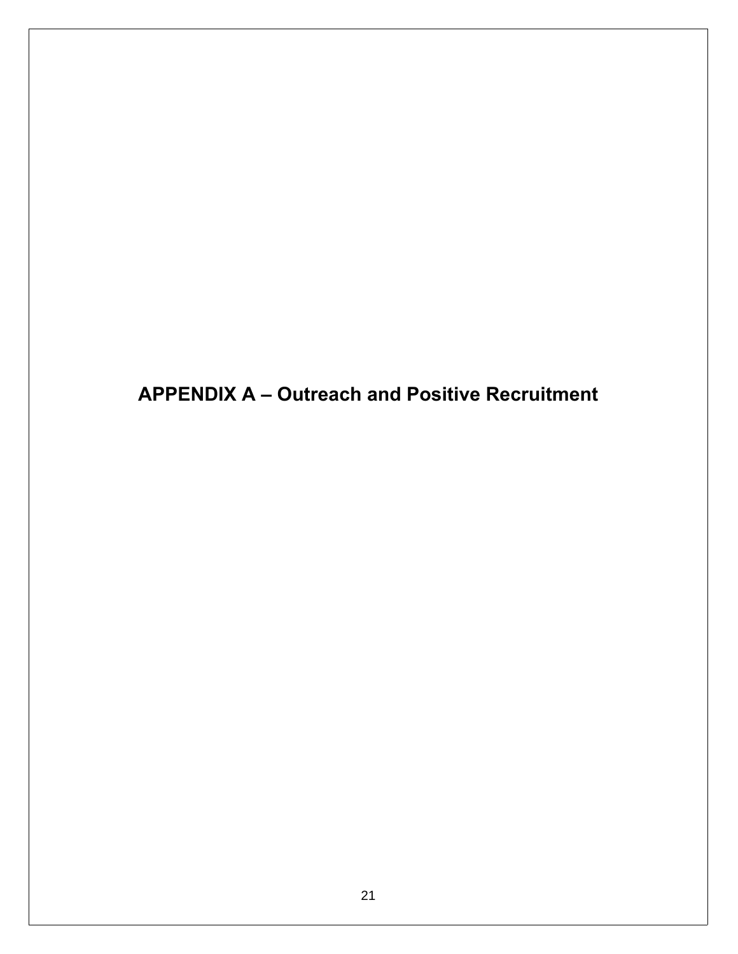**APPENDIX A - Outreach and Positive Recruitment**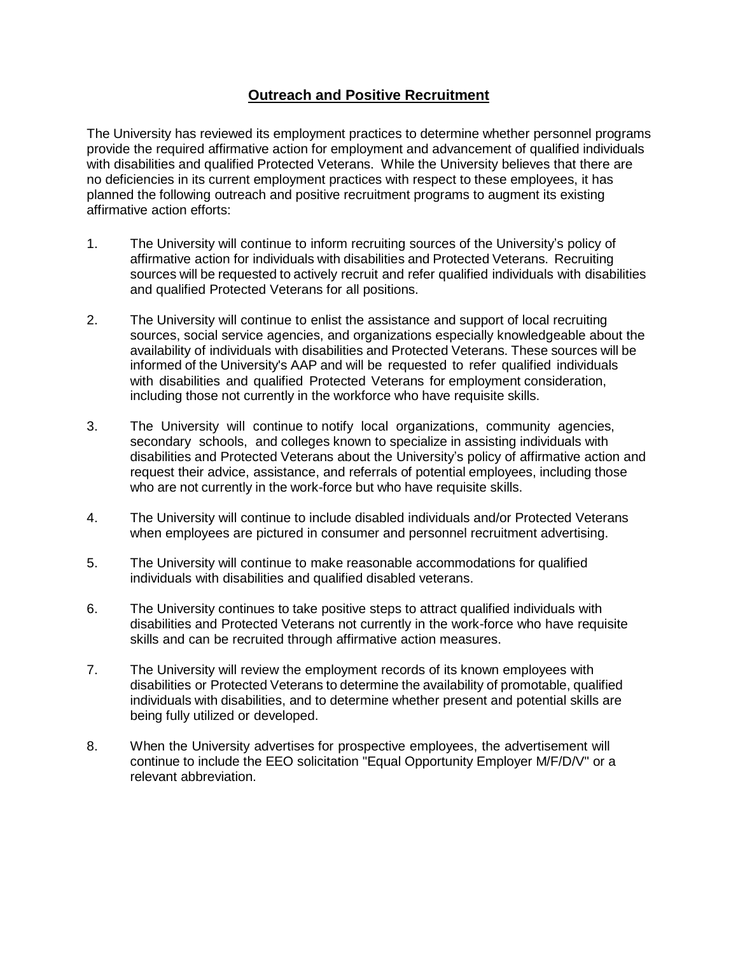### **Outreach and Positive Recruitment**

The University has reviewed its employment practices to determine whether personnel programs provide the required affirmative action for employment and advancement of qualified individuals with disabilities and qualified Protected Veterans. While the University believes that there are no deficiencies in its current employment practices with respect to these employees, it has planned the following outreach and positive recruitment programs to augment its existing affirmative action efforts:

- 1. The University will continue to inform recruiting sources of the University's policy of affirmative action for individuals with disabilities and Protected Veterans. Recruiting sources will be requested to actively recruit and refer qualified individuals with disabilities and qualified Protected Veterans for all positions.
- 2. The University will continue to enlist the assistance and support of local recruiting sources, social service agencies, and organizations especially knowledgeable about the availability of individuals with disabilities and Protected Veterans. These sources will be informed of the University's AAP and will be requested to refer qualified individuals with disabilities and qualified Protected Veterans for employment consideration, including those not currently in the workforce who have requisite skills.
- 3. The University will continue to notify local organizations, community agencies, secondary schools, and colleges known to specialize in assisting individuals with disabilities and Protected Veterans about the University's policy of affirmative action and request their advice, assistance, and referrals of potential employees, including those who are not currently in the work-force but who have requisite skills.
- 4. The University will continue to include disabled individuals and/or Protected Veterans when employees are pictured in consumer and personnel recruitment advertising.
- 5. The University will continue to make reasonable accommodations for qualified individuals with disabilities and qualified disabled veterans.
- 6. The University continues to take positive steps to attract qualified individuals with disabilities and Protected Veterans not currently in the work-force who have requisite skills and can be recruited through affirmative action measures.
- 7. The University will review the employment records of its known employees with disabilities or Protected Veterans to determine the availability of promotable, qualified individuals with disabilities, and to determine whether present and potential skills are being fully utilized or developed.
- 8. When the University advertises for prospective employees, the advertisement will continue to include the EEO solicitation "Equal Opportunity Employer M/F/D/V" or a relevant abbreviation.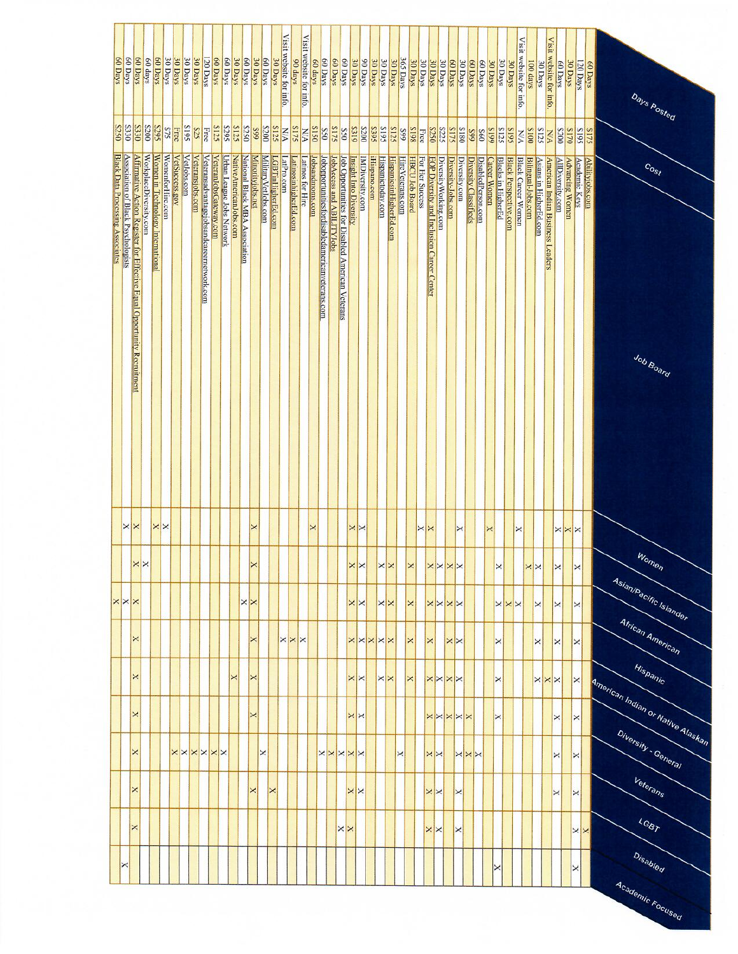|                                  | 60 Days<br>60 Days                        | 60 Days                                                                 | 60 days                | 60 Days                           | 30 Days          | 30 Days        | 30 Days       | 30 Days          | 20 Days                                  | 60 Days                | 60 Days                          | 30 Days                 | 60 Days                        | 30 Days          | 60 Days             | 30 Days            | Visit website for info. | 90 days               | Visit website for info. | 60 days         | 60 Days                                         | 60 Days                   | 60 Days                                          | 30 Days                | 90 Days         | 30 Days            | 30 Days           | 30 Days                 | 365 Days         | 30 Days               | 30 Days           | 30 Days                                   | 30 Days               | 60 Days            | 30 Days           | 60 Days               | 60 Days            | 30 Days      | 30 Days                   | 30 Days                      | Visit website for info.   | 100 days           | 30 Days                | Visit website for info.          | 60 Days                 | 30 Days                | 120 Days              | 60 Days         | Days Posted                       |
|----------------------------------|-------------------------------------------|-------------------------------------------------------------------------|------------------------|-----------------------------------|------------------|----------------|---------------|------------------|------------------------------------------|------------------------|----------------------------------|-------------------------|--------------------------------|------------------|---------------------|--------------------|-------------------------|-----------------------|-------------------------|-----------------|-------------------------------------------------|---------------------------|--------------------------------------------------|------------------------|-----------------|--------------------|-------------------|-------------------------|------------------|-----------------------|-------------------|-------------------------------------------|-----------------------|--------------------|-------------------|-----------------------|--------------------|--------------|---------------------------|------------------------------|---------------------------|--------------------|------------------------|----------------------------------|-------------------------|------------------------|-----------------------|-----------------|-----------------------------------|
|                                  | 8330<br>S250                              | <b>S330</b>                                                             | S200                   | S295                              | SLS              | Free           | <b>S61S</b>   | SZS              | Free                                     | S125                   | S673                             | S125                    | S250                           | 66S              | 8200                |                    | <b>N/A</b><br>S125      | S175                  | N/K                     | <b>S150</b>     | S50                                             | <b>S175</b>               | <b>S50</b>                                       | <b>8319</b>            | <b>S200</b>     | S <sub>6</sub> 395 | S618              | <b>S125</b>             | 665              | 861S                  | Free              | S250                                      | S225                  | S175               | S180              | 66S                   | 860                | 6615         | <b>S125</b>               | <b>S618</b>                  | NW                        | <b>S100</b>        | <b>S125</b>            | <b>N/A</b>                       | <b>S200</b>             | <b>S170</b>            | <b>S61S</b>           | S175            |                                   |
| Black Data Processing Associates | <b>Association of Black Psychologists</b> | Affirmative Action Register for Effective Equal Opportunity Recruitment | WorkplaceDiversity.com | Women in Technology International | WomenforHire.com | VetSuccess.gov | VetJobs.com   | Veteransjobs.com | Veteransadvantagejobsandeareemetwork.com | VeteranJobsGateway.com | <b>Urban League Jobs Network</b> | Native AmericanJobs.com | National Black MBA Association | Minorityjobs.net | MilitaryVetJobs.com | LGBTinHigherEd.com | LatPro.com              | LatinosinhigherEd.com | Latinos for Hire        | lobsandmoms.com | Jobopportunitiesfordisabledamericanveterans.com | JobAccess and ABILITYJobs | Job Opportunities for Disabled American Veterans | Insight Into Diversity | IMDiversity.com | iHispano.com       | Hispanictoday.com | HispanicsinHigherEd.com | HireVeterans.com | <b>HBCU Job Board</b> | For Her Success   | EOP Diversity and Inclusion Career Center | Diversity Working.com | Diversity-Jobs.com | Diversity.com     | Diversity Classifieds | DisabledPerson.com | Career Women | <b>Blacks in HigherEd</b> | <b>Black Perspective,com</b> | <b>Black Career Women</b> | Bilingual-Jobs.com | Asians in HigherEd.com | American Indian Business Leaders | <b>AllDiversity.com</b> | <b>Advancing Women</b> | <b>Academic Keys</b>  | Abilityjobs.com | $c_{o_{s}}$<br>Job Board          |
|                                  | ×                                         | $\mathsf{\times}$                                                       |                        |                                   | $\times$         |                |               |                  |                                          |                        |                                  |                         |                                | ×                |                     |                    |                         |                       |                         | ×               |                                                 |                           |                                                  | $\times$               |                 |                    |                   |                         |                  |                       | $\times$ $\times$ |                                           |                       |                    | ×                 |                       |                    | ×            |                           |                              | ×                         |                    |                        |                                  | $\times$                |                        | ×                     |                 |                                   |
|                                  |                                           |                                                                         | $\times$               |                                   |                  |                |               |                  |                                          |                        |                                  |                         |                                | ×                |                     |                    |                         |                       |                         |                 |                                                 |                           |                                                  | x x                    |                 |                    | $\times$ $\times$ |                         |                  | $\mathbf{\times}$     |                   | $X$ $\times$ $\times$                     |                       |                    |                   |                       |                    |              | $\mathsf{x}$              |                              |                           | $\times$           |                        | ⋉                                |                         |                        | $\mathsf{x}$          |                 | Women                             |
|                                  |                                           | $\times$ $\times$                                                       |                        |                                   |                  |                |               |                  |                                          |                        |                                  |                         | $\times$                       |                  |                     |                    |                         |                       |                         |                 |                                                 |                           |                                                  | $\times$               |                 |                    | $\times$ $\times$ |                         |                  | $\Join$               |                   | <b>XXXX</b>                               |                       |                    |                   |                       |                    |              |                           | $\times$ $\times$            |                           | $\Join$            |                        | ×                                |                         |                        | $\boldsymbol{\times}$ |                 | Asian/Pacific Islander            |
|                                  |                                           | ×                                                                       |                        |                                   |                  |                |               |                  |                                          |                        |                                  |                         |                                | ×                |                     |                    | $\times$ $\times$       |                       |                         |                 |                                                 |                           |                                                  | <b>XXXXX</b>           |                 |                    |                   |                         |                  | $\Join$               |                   | ×                                         |                       | ×                  | $\Join$           |                       |                    |              | $\mathsf{x}$              |                              |                           | ×                  |                        | ×                                |                         |                        | $\times$              |                 | African American                  |
|                                  |                                           | $\pmb{\times}$                                                          |                        |                                   |                  |                |               |                  |                                          |                        |                                  | $\times$                |                                | $\times$         |                     |                    |                         |                       |                         |                 |                                                 |                           |                                                  | $\times$               |                 |                    | $\times$ $\times$ |                         |                  | ×                     |                   | <b>XXXX</b>                               |                       |                    |                   |                       |                    |              | $\mathsf{\times}$         |                              |                           |                    |                        | $\times$ $\times$                |                         | $\mathsf{x}$           |                       |                 | Hispanic                          |
|                                  |                                           | $\times$                                                                |                        |                                   |                  |                |               |                  |                                          |                        |                                  |                         |                                | ×                |                     |                    |                         |                       |                         |                 |                                                 |                           |                                                  | $\times$               |                 |                    |                   |                         |                  |                       |                   | <b>xxxxx</b>                              |                       |                    |                   |                       |                    | $\times$     |                           |                              |                           |                    |                        | ×                                |                         |                        | ×                     |                 | American Indian or Native Alaskan |
|                                  |                                           | ×                                                                       |                        |                                   |                  |                | <b>xxxxxx</b> |                  |                                          |                        |                                  |                         |                                |                  | $\times$            |                    |                         |                       |                         |                 |                                                 |                           |                                                  | <b>XXXXX</b>           |                 |                    |                   |                         | ×                |                       |                   | $\times$                                  |                       |                    | XXX               |                       |                    |              |                           |                              |                           |                    |                        | ×                                |                         | ×                      |                       |                 | Diversity - General               |
|                                  |                                           | ×                                                                       |                        |                                   |                  |                |               |                  |                                          |                        |                                  |                         |                                | ×                |                     | ×                  |                         |                       |                         |                 |                                                 |                           |                                                  | $\times$               |                 |                    |                   |                         |                  |                       |                   | $\times$                                  |                       |                    | $\mathbf{\times}$ |                       |                    |              |                           |                              |                           |                    |                        | ×                                |                         | ×                      |                       |                 | Veterans                          |
|                                  |                                           | ×                                                                       |                        |                                   |                  |                |               |                  |                                          |                        |                                  |                         |                                |                  |                     |                    |                         |                       |                         |                 |                                                 |                           | $\times$                                         |                        |                 |                    |                   |                         |                  |                       |                   | $\times$                                  |                       |                    | ×                 |                       |                    |              |                           |                              |                           |                    |                        |                                  |                         |                        | $\times$ $\times$     |                 | LGBT                              |
|                                  | $\times$                                  |                                                                         |                        |                                   |                  |                |               |                  |                                          |                        |                                  |                         |                                |                  |                     |                    |                         |                       |                         |                 |                                                 |                           |                                                  |                        |                 |                    |                   |                         |                  |                       |                   |                                           |                       |                    |                   |                       |                    | ×            |                           |                              |                           |                    |                        |                                  |                         | ×                      |                       |                 | Disabled                          |
|                                  |                                           |                                                                         |                        |                                   |                  |                |               |                  |                                          |                        |                                  |                         |                                |                  |                     |                    |                         |                       |                         |                 |                                                 |                           |                                                  |                        |                 |                    |                   |                         |                  |                       |                   |                                           |                       |                    |                   |                       |                    |              |                           |                              |                           |                    |                        |                                  |                         |                        |                       |                 | Academic Focused                  |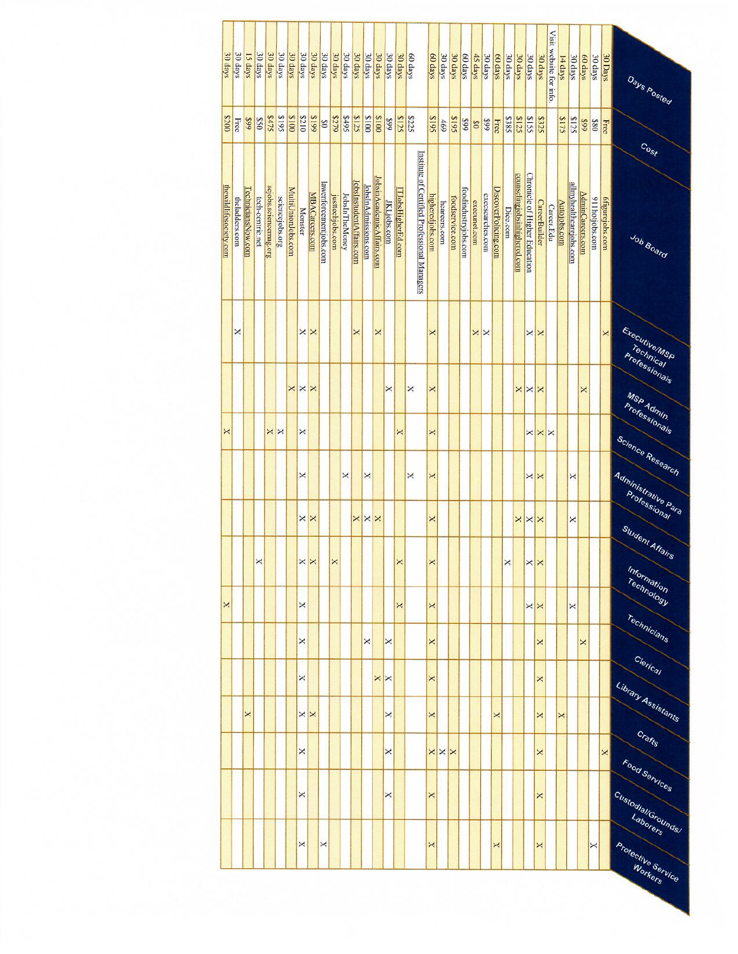| 30 days                | 30 days        | 15 days            | 30 days          | 30 days               | 30 days         | 30 days            | 30 days        | 30 days              | 30 days                | 30 days          | 30 days               | 30 days                  | 30 days              | 30 days                   | 30 days           | 30 days            | 60 days                                      | 60 days          | 30 days           | 30 days         | 60 days              | $45 \text{ days}$ | 30 days          | 60 days              | 30 days     | 30 days                      | 30 days                              | 30 days              | Visit website for info | 14 days             | 30 days                 | 60 days          | 30 days         | 30 Days                | Days Posted                              |
|------------------------|----------------|--------------------|------------------|-----------------------|-----------------|--------------------|----------------|----------------------|------------------------|------------------|-----------------------|--------------------------|----------------------|---------------------------|-------------------|--------------------|----------------------------------------------|------------------|-------------------|-----------------|----------------------|-------------------|------------------|----------------------|-------------|------------------------------|--------------------------------------|----------------------|------------------------|---------------------|-------------------------|------------------|-----------------|------------------------|------------------------------------------|
| 0028                   | Free           | 66\$               | 058              | \$475                 | \$195           | \$100              | 8210           | 8199                 | 80                     | 8279             | \$495                 | \$125                    | 0018                 | 8100                      | 66\$              | <b>S125</b>        | \$225                                        | <b>S618</b>      | 469               | \$195           | 66\$                 | $\frac{8}{20}$    | 66\$             | Free                 | <b>S385</b> | <b>S125</b>                  | <b>S155</b>                          | \$325                |                        | \$175               | \$125                   | 66\$             | 08\$            | Free                   |                                          |
|                        |                |                    |                  |                       |                 |                    |                |                      |                        |                  |                       |                          |                      |                           |                   |                    |                                              |                  |                   |                 |                      |                   |                  |                      |             |                              |                                      |                      |                        |                     |                         |                  |                 |                        | $C_{O, S}$                               |
| thewildlifesociety.com | theladders.com | TechniciansNow.com | tech-centric.net | scjobs.sciencemag.org | sciencejobs.org | MultiUnionJobs.com | <b>Monster</b> | MBACareers.com       | lawenforcementjobs.com | justtechjobs.com | <b>JobsInTheMoney</b> | JobsInstudentAffairs.com | JobsInAdmissions.com | JobsinAcademicAffairs.com | JKLjobs.com       | ITJobsHigherEd.com | Institute of Certified Professional Managers | higheredjobs.com | heareers.com      | foodservice.com | foodindustryjobs.com | execunet.com      | exeesearches.com | DiscoverPolicing.com | Dice.com    | counselingjobsinhighered.com | <b>Chronicle of Higher Education</b> | <b>CareerBuilder</b> | Career.Edu             | <b>Autojobs.com</b> | allmyhealthearejobs.com | AdminCareers.com | 911 hotjobs.com | <b>6figurejobs.com</b> | Job Board                                |
|                        | ×              |                    |                  |                       |                 |                    | ×              | ×                    |                        |                  |                       | ×                        |                      | ×                         |                   |                    |                                              | ×                |                   |                 |                      | ×                 | $\times$         |                      |             |                              | ×                                    | ⋉                    |                        |                     |                         |                  |                 | $\pmb{\times}$         | Executive/MSP                            |
|                        |                |                    |                  |                       |                 | ×                  | $\times$       | ×                    |                        |                  |                       |                          |                      |                           | ×                 |                    | ×                                            | ×                |                   |                 |                      |                   |                  |                      |             | ×                            | $\times$                             | ×                    |                        |                     |                         | ×                |                 |                        | Technical<br>Professionals<br>MSP Admin. |
| ×                      |                |                    |                  | ×                     | $\mathsf{x}$    |                    | ×              |                      |                        |                  |                       |                          |                      |                           |                   | ×                  |                                              | ×                |                   |                 |                      |                   |                  |                      |             |                              | ×                                    | ×                    | ×                      |                     |                         |                  |                 |                        | Professionals                            |
|                        |                |                    |                  |                       |                 |                    | ×              |                      |                        |                  | ×                     |                          | ×                    |                           |                   |                    | ×                                            | ×                |                   |                 |                      |                   |                  |                      |             |                              | ×                                    | ×                    |                        |                     | ×                       |                  |                 |                        | Science Research<br>Administrative Para  |
|                        |                |                    |                  |                       |                 |                    | ×              | ×                    |                        |                  |                       | ×                        | $\times$             | $\Join$                   |                   |                    |                                              | ×                |                   |                 |                      |                   |                  |                      |             | ×                            | $\times$ $\times$                    |                      |                        |                     | ×                       |                  |                 |                        | Professional<br>Student Affairs          |
|                        |                |                    | ↗                |                       |                 |                    |                | $\sim$ $\sim$ $\sim$ |                        | ×                |                       |                          |                      |                           |                   | ×                  |                                              | ≍                |                   |                 |                      |                   |                  |                      | ×           |                              | $\times$ $\times$                    |                      |                        |                     |                         |                  |                 |                        | Information                              |
| ×                      |                |                    |                  |                       |                 |                    | ×              |                      |                        |                  |                       |                          |                      |                           |                   | ×                  |                                              | ×                |                   |                 |                      |                   |                  |                      |             |                              | $\times$                             |                      |                        |                     | ×                       |                  |                 |                        | Technology<br>Technicians                |
|                        |                |                    |                  |                       |                 |                    | ×              |                      |                        |                  |                       |                          | ×                    |                           | ×                 |                    |                                              | ×                |                   |                 |                      |                   |                  |                      |             |                              |                                      | ×                    |                        |                     |                         | ×                |                 |                        | Clerical                                 |
|                        |                | ×                  |                  |                       |                 |                    | ×              | $\times$ $\times$    |                        |                  |                       |                          |                      | ×                         | $\mathsf{x}$<br>× |                    |                                              | ×<br>×           |                   |                 |                      |                   |                  | ×                    |             |                              |                                      | ×<br>×               |                        | ×                   |                         |                  |                 |                        | Library Assistants                       |
|                        |                |                    |                  |                       |                 |                    | ×              |                      |                        |                  |                       |                          |                      |                           | ×                 |                    |                                              |                  | $\times$ $\times$ |                 |                      |                   |                  |                      |             |                              |                                      | ×                    |                        |                     |                         |                  |                 | $\times$               | Crafts                                   |
|                        |                |                    |                  |                       |                 |                    | ×              |                      |                        |                  |                       |                          |                      |                           | ×                 |                    |                                              | ×                |                   |                 |                      |                   |                  |                      |             |                              |                                      | ×                    |                        |                     |                         |                  |                 |                        | Food Services                            |
|                        |                |                    |                  |                       |                 |                    | ×              |                      | ×                      |                  |                       |                          |                      |                           |                   |                    |                                              | ×                |                   |                 |                      |                   |                  | ×                    |             |                              |                                      | ×                    |                        |                     |                         |                  | ×               |                        | Custodial/Grounds/<br>Protective Service |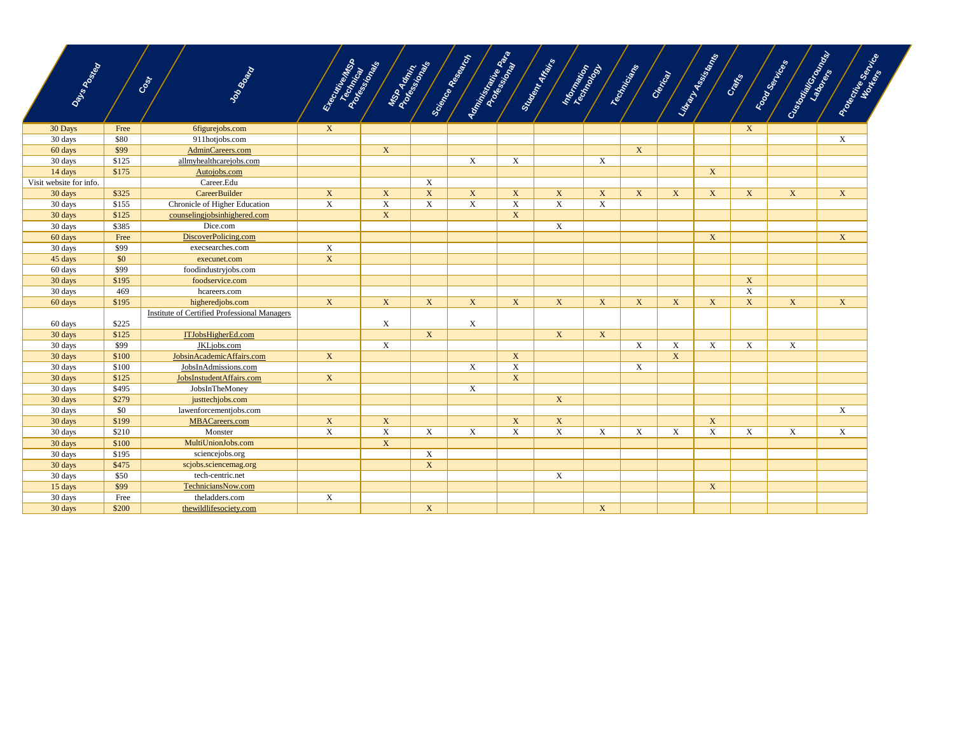| Days Rowan              |       | Job Board<br>Cost                            | Executive of the<br>Textinical | MSD Aghnin<br>Professionals |             | Administration Profession Pro<br>Science Research |             | Student Afans<br>Internation |             | Technicians               | Clerical | Library Assistants | Cratics      | Customan Capeland<br>Food Services | Protective Service |
|-------------------------|-------|----------------------------------------------|--------------------------------|-----------------------------|-------------|---------------------------------------------------|-------------|------------------------------|-------------|---------------------------|----------|--------------------|--------------|------------------------------------|--------------------|
| 30 Days                 | Free  | 6figurejobs.com                              | $\mathbf{X}$                   |                             |             |                                                   |             |                              |             |                           |          |                    | $\mathbf{X}$ |                                    |                    |
| $30 \text{ days}$       | \$80  | 911hotjobs.com                               |                                |                             |             |                                                   |             |                              |             |                           |          |                    |              |                                    | X                  |
| 60 days                 | \$99  | AdminCareers.com                             |                                | $\mathbf X$                 |             |                                                   |             |                              |             | $\mathbf X$               |          |                    |              |                                    |                    |
| 30 days                 | \$125 | allmyhealthcarejobs.com                      |                                |                             |             | X                                                 | X           |                              | X           |                           |          |                    |              |                                    |                    |
| 14 days                 | \$175 | Autojobs.com                                 |                                |                             |             |                                                   |             |                              |             |                           |          | X                  |              |                                    |                    |
| Visit website for info. |       | Career.Edu                                   |                                |                             | X           |                                                   |             |                              |             |                           |          |                    |              |                                    |                    |
| 30 days                 | \$325 | CareerBuilder                                | $\mathbf{X}$                   | $\mathbf X$                 | $\mathbf X$ | $\mathbf X$                                       | $\mathbf X$ | $\mathbf X$                  | $\mathbf X$ | $\mathbf X$               | X        | $\mathbf{X}$       | $\mathbf X$  | $\mathbf X$                        | $\mathbf X$        |
| 30 days                 | \$155 | Chronicle of Higher Education                | $\boldsymbol{\mathrm{X}}$      | $\mathbf X$                 | X           | $\mathbf X$                                       | $\mathbf X$ | $\mathbf X$                  | $\mathbf X$ |                           |          |                    |              |                                    |                    |
| 30 days                 | \$125 | counselingjobsinhighered.com                 |                                | $\mathbf X$                 |             |                                                   | $\mathbf X$ |                              |             |                           |          |                    |              |                                    |                    |
| 30 days                 | \$385 | Dice.com                                     |                                |                             |             |                                                   |             | X                            |             |                           |          |                    |              |                                    |                    |
| 60 days                 | Free  | DiscoverPolicing.com                         |                                |                             |             |                                                   |             |                              |             |                           |          | $\mathbf X$        |              |                                    | X                  |
| 30 days                 | \$99  | execsearches.com                             | $\boldsymbol{\mathrm{X}}$      |                             |             |                                                   |             |                              |             |                           |          |                    |              |                                    |                    |
| 45 days                 | \$0   | execunet.com                                 | $\mathbf{X}$                   |                             |             |                                                   |             |                              |             |                           |          |                    |              |                                    |                    |
| 60 days                 | \$99  | foodindustryjobs.com                         |                                |                             |             |                                                   |             |                              |             |                           |          |                    |              |                                    |                    |
| 30 days                 | \$195 | foodservice.com                              |                                |                             |             |                                                   |             |                              |             |                           |          |                    | X            |                                    |                    |
| 30 days                 | 469   | hcareers.com                                 |                                |                             |             |                                                   |             |                              |             |                           |          |                    | $\mathbf X$  |                                    |                    |
| 60 days                 | \$195 | higheredjobs.com                             | $\mathbf{X}$                   | X                           | X           | $\mathbf X$                                       | $\mathbf X$ | $\mathbf X$                  | $\mathbf X$ | $\mathbf{X}$              | X        | $\mathbf X$        | X            | X                                  | $\mathbf X$        |
| 60 days                 | \$225 | Institute of Certified Professional Managers |                                | $\mathbf X$                 |             | X                                                 |             |                              |             |                           |          |                    |              |                                    |                    |
| 30 days                 | \$125 | ITJobsHigherEd.com                           |                                |                             | $\mathbf X$ |                                                   |             | X                            | $\mathbf X$ |                           |          |                    |              |                                    |                    |
| 30 days                 | \$99  | JKLjobs.com                                  |                                | X                           |             |                                                   |             |                              |             | $\boldsymbol{\mathrm{X}}$ | X        | X                  | X            | X                                  |                    |
| 30 days                 | \$100 | JobsinAcademicAffairs.com                    | X                              |                             |             |                                                   | $\mathbf X$ |                              |             |                           | X        |                    |              |                                    |                    |
| 30 days                 | \$100 | JobsInAdmissions.com                         |                                |                             |             | X                                                 | $\mathbf X$ |                              |             | X                         |          |                    |              |                                    |                    |
| 30 days                 | \$125 | JobsInstudentAffairs.com                     | $\mathbf{X}$                   |                             |             |                                                   | $\mathbf X$ |                              |             |                           |          |                    |              |                                    |                    |
| 30 days                 | \$495 | JobsInTheMoney                               |                                |                             |             | $\mathbf X$                                       |             |                              |             |                           |          |                    |              |                                    |                    |
| 30 days                 | \$279 | justtechjobs.com                             |                                |                             |             |                                                   |             | $\mathbf X$                  |             |                           |          |                    |              |                                    |                    |
| 30 days                 | \$0   | lawenforcementjobs.com                       |                                |                             |             |                                                   |             |                              |             |                           |          |                    |              |                                    | X                  |
| 30 days                 | \$199 | MBACareers.com                               | $\mathbf{X}$                   | $\mathbf{X}$                |             |                                                   | $\mathbf X$ | $\mathbf{X}$                 |             |                           |          | $\mathbf X$        |              |                                    |                    |
| 30 days                 | \$210 | Monster                                      | $\mathbf X$                    | $\mathbf X$                 | X           | X                                                 | X           | X                            | X           | $\mathbf X$               | X        | $\mathbf X$        | X            | X                                  | X                  |
| 30 days                 | \$100 | MultiUnionJobs.com                           |                                | $\overline{X}$              |             |                                                   |             |                              |             |                           |          |                    |              |                                    |                    |
| 30 days                 | \$195 | sciencejobs.org                              |                                |                             | X           |                                                   |             |                              |             |                           |          |                    |              |                                    |                    |
| 30 days                 | \$475 | scjobs.sciencemag.org                        |                                |                             | $\mathbf X$ |                                                   |             |                              |             |                           |          |                    |              |                                    |                    |
| 30 days                 | \$50  | tech-centric.net                             |                                |                             |             |                                                   |             | X                            |             |                           |          |                    |              |                                    |                    |
| 15 days                 | \$99  | TechniciansNow.com                           |                                |                             |             |                                                   |             |                              |             |                           |          | $\mathbf X$        |              |                                    |                    |
| 30 days                 | Free  | theladders.com                               | $\boldsymbol{\mathrm{X}}$      |                             |             |                                                   |             |                              |             |                           |          |                    |              |                                    |                    |
| 30 days                 | \$200 | thewildlifesociety.com                       |                                |                             | $\mathbf X$ |                                                   |             |                              | $\mathbf X$ |                           |          |                    |              |                                    |                    |

 $\overline{\phantom{a}}$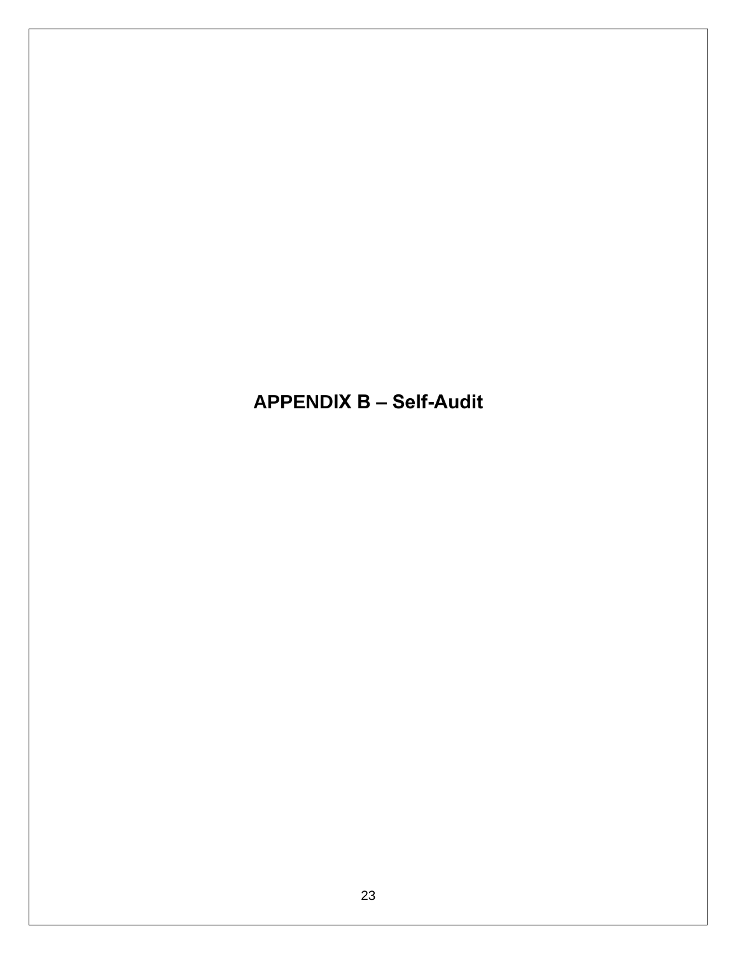**APPENDIX B - Self-Audit**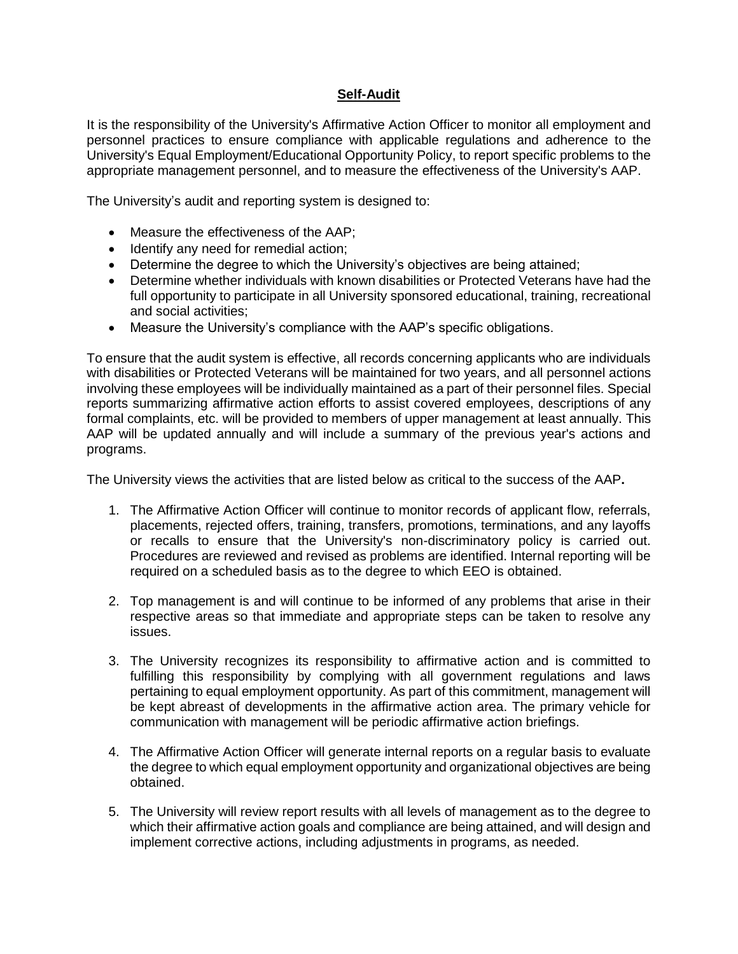#### **Self-Audit**

It is the responsibility of the University's Affirmative Action Officer to monitor all employment and personnel practices to ensure compliance with applicable regulations and adherence to the University's Equal Employment/Educational Opportunity Policy, to report specific problems to the appropriate management personnel, and to measure the effectiveness of the University's AAP.

The University's audit and reporting system is designed to:

- Measure the effectiveness of the AAP:
- Identify any need for remedial action:
- Determine the degree to which the University's objectives are being attained;
- Determine whether individuals with known disabilities or Protected Veterans have had the full opportunity to participate in all University sponsored educational, training, recreational and social activities;
- Measure the University's compliance with the AAP's specific obligations.

To ensure that the audit system is effective, all records concerning applicants who are individuals with disabilities or Protected Veterans will be maintained for two years, and all personnel actions involving these employees will be individually maintained as a part of their personnel files. Special reports summarizing affirmative action efforts to assist covered employees, descriptions of any formal complaints, etc. will be provided to members of upper management at least annually. This AAP will be updated annually and will include a summary of the previous year's actions and programs.

The University views the activities that are listed below as critical to the success of the AAP**.**

- 1. The Affirmative Action Officer will continue to monitor records of applicant flow, referrals, placements, rejected offers, training, transfers, promotions, terminations, and any layoffs or recalls to ensure that the University's non-discriminatory policy is carried out. Procedures are reviewed and revised as problems are identified. Internal reporting will be required on a scheduled basis as to the degree to which EEO is obtained.
- 2. Top management is and will continue to be informed of any problems that arise in their respective areas so that immediate and appropriate steps can be taken to resolve any issues.
- 3. The University recognizes its responsibility to affirmative action and is committed to fulfilling this responsibility by complying with all government regulations and laws pertaining to equal employment opportunity. As part of this commitment, management will be kept abreast of developments in the affirmative action area. The primary vehicle for communication with management will be periodic affirmative action briefings.
- 4. The Affirmative Action Officer will generate internal reports on a regular basis to evaluate the degree to which equal employment opportunity and organizational objectives are being obtained.
- 5. The University will review report results with all levels of management as to the degree to which their affirmative action goals and compliance are being attained, and will design and implement corrective actions, including adjustments in programs, as needed.